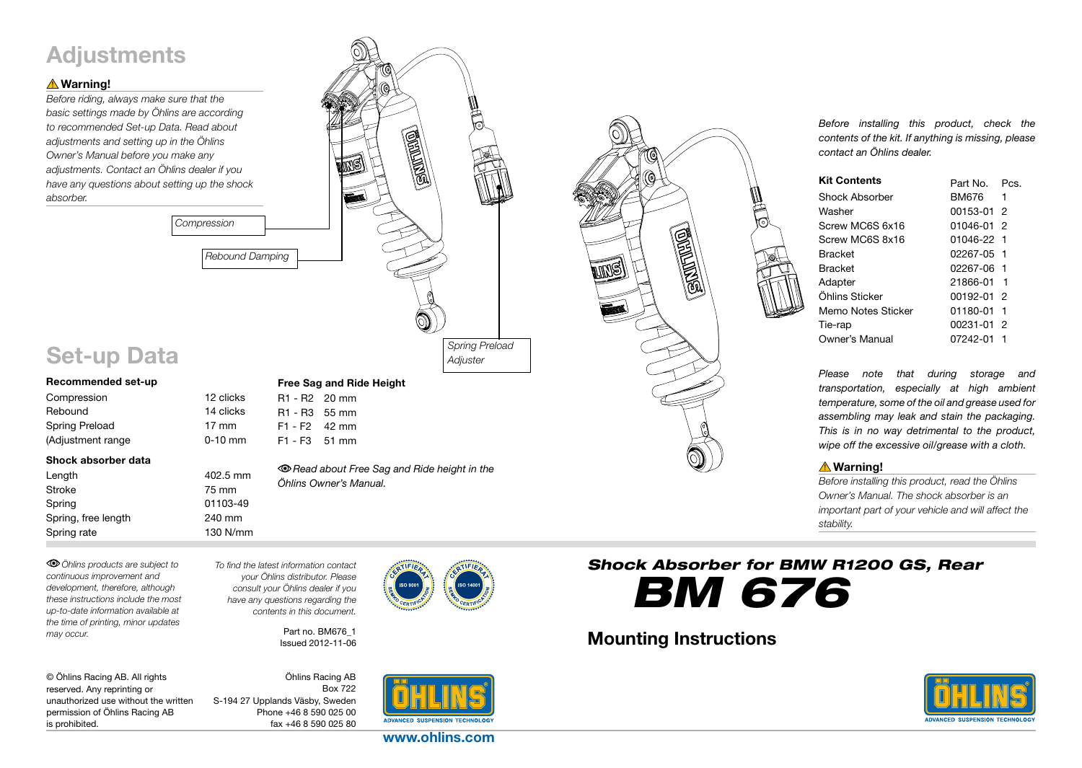# **Adjustments**

## **△Warning!**

*Before riding, always make sure that the basic settings made by Öhlins are according to recommended Set-up Data. Read about adjustments and setting up in the Öhlins Owner's Manual before you make any adjustments. Contact an Öhlins dealer if you have any questions about setting up the shock absorber.* 



# Set-up Data

| Recommended set-up |                 |
|--------------------|-----------------|
| Compression        | 12 clicks       |
| Rebound            | 14 clicks       |
| Spring Preload     | $17 \text{ mm}$ |
| (Adjustment range  | $0-10$ mm       |
|                    |                 |

#### Shock absorber data

| Length              | 402.5 mm |
|---------------------|----------|
| Stroke              | 75 mm    |
| Spring              | 01103-49 |
| Spring, free length | 240 mm   |
| Spring rate         | 130 N/mm |

F1 - F3 51 mm

Free Sag and Ride Height

R1 - R2 20 mm R1 - R3 55 mm F1 - F2 42 mm

*Read about Free Sag and Ride height in the Öhlins Owner's Manual.*

*Öhlins products are subject to continuous improvement and development, therefore, although these instructions include the most up-to-date information available at the time of printing, minor updates may occur.* 

*To find the latest information contact your Öhlins distributor. Please consult your Öhlins dealer if you have any questions regarding the contents in this document.*

*Compression*

Part no. BM676\_1 Issued 2012-11-06

| © Öhlins Racing AB. All rights       |
|--------------------------------------|
| reserved. Any reprinting or          |
| unauthorized use without the written |
| permission of Öhlins Racing AB       |
| is prohibited.                       |

Öhlins Racing AB Box 722 S-194 27 Upplands Väsby, Sweden Phone +46 8 590 025 00 fax +46 8 590 025 80



www.ohlins.com



*Before installing this product, check the contents of the kit. If anything is missing, please contact an Öhlins dealer.*

| <b>Kit Contents</b> | Part No.   | PCS |
|---------------------|------------|-----|
| Shock Absorber      | BM676 -    | 1   |
| Washer              | 00153-01 2 |     |
| Screw MC6S 6x16     | 01046-01 2 |     |
| Screw MC6S 8x16     | 01046-22 1 |     |
| <b>Bracket</b>      | 02267-05 1 |     |
| <b>Bracket</b>      | 02267-06 1 |     |
| Adapter             | 21866-01 1 |     |
| Öhlins Sticker      | 00192-01 2 |     |
| Memo Notes Sticker  | 01180-01   | 1   |
| Tie-rap             | 00231-01   | - 2 |
| Owner's Manual      | 07242-01   |     |

*Please note that during storage and transportation, especially at high ambient temperature, some of the oil and grease used for assembling may leak and stain the packaging. This is in no way detrimental to the product, wipe off the excessive oil/grease with a cloth.*

## **△Warning!**

*Before installing this product, read the Öhlins Owner's Manual. The shock absorber is an important part of your vehicle and will affect the stability.*

*Shock Absorber for BMW R1200 GS, Rear BM 676*

# Mounting Instructions